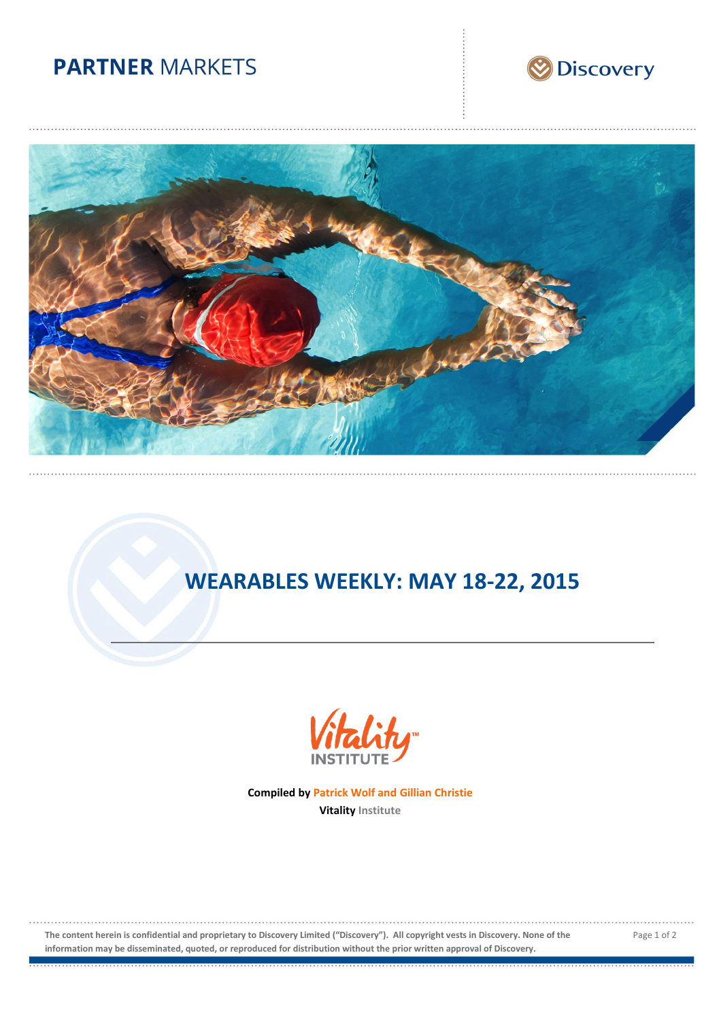## **PARTNER MARKETS**





# **WEARABLES WEEKLY: MAY 18-22, 2015**



**Compiled by Patrick Wolf and Gillian Christie Vitality Institute**

**The content herein is confidential and proprietary to Discovery Limited ("Discovery"). All copyright vests in Discovery. None of the information may be disseminated, quoted, or reproduced for distribution without the prior written approval of Discovery.**

Page 1 of 2